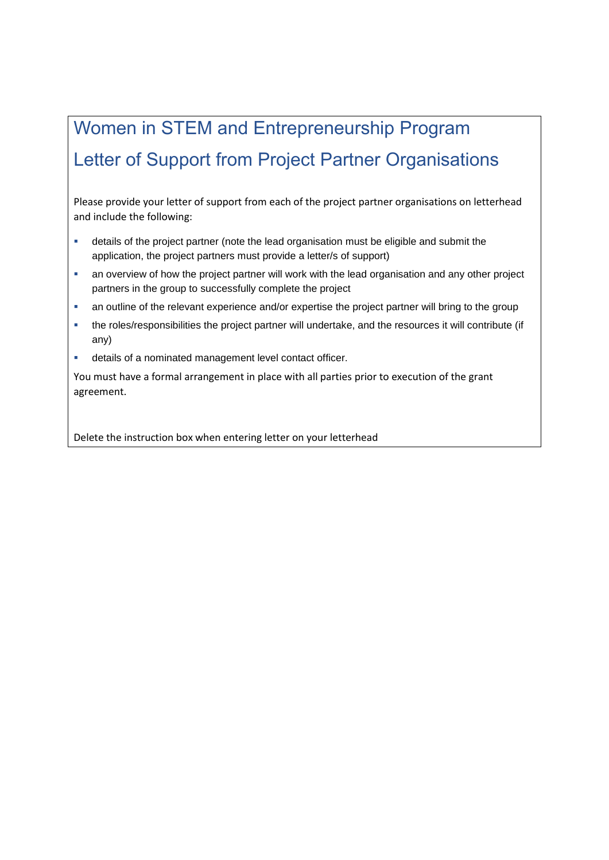# Women in STEM and Entrepreneurship Program Letter of Support from Project Partner Organisations

Please provide your letter of support from each of the project partner organisations on letterhead and include the following:

- details of the project partner (note the lead organisation must be eligible and submit the application, the project partners must provide a letter/s of support)
- an overview of how the project partner will work with the lead organisation and any other project partners in the group to successfully complete the project
- an outline of the relevant experience and/or expertise the project partner will bring to the group
- the roles/responsibilities the project partner will undertake, and the resources it will contribute (if any)
- details of a nominated management level contact officer.

You must have a formal arrangement in place with all parties prior to execution of the grant agreement.

Delete the instruction box when entering letter on your letterhead